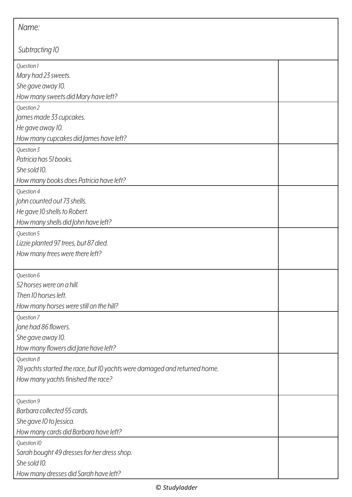| Name:                                                                     |  |  |
|---------------------------------------------------------------------------|--|--|
| Subtracting 10                                                            |  |  |
| Question 1                                                                |  |  |
| Mary had 23 sweets.                                                       |  |  |
| She gave away 10.                                                         |  |  |
| How many sweets did Mary have left?                                       |  |  |
| Question 2                                                                |  |  |
| James made 33 cupcakes.                                                   |  |  |
| He gave away 10.                                                          |  |  |
| How many cupcakes did James have left?                                    |  |  |
| Question 3                                                                |  |  |
| Patricia has 51 books.                                                    |  |  |
| She sold 10.                                                              |  |  |
| How many books does Patricia have left?                                   |  |  |
| Question 4                                                                |  |  |
| John counted out 73 shells.                                               |  |  |
| He gave 10 shells to Robert.                                              |  |  |
| How many shells did John have left?                                       |  |  |
| Question 5                                                                |  |  |
| Lizzie planted 97 trees, but 87 died.                                     |  |  |
| How many trees were there left?                                           |  |  |
| Question 6                                                                |  |  |
| 52 horses were on a hill.                                                 |  |  |
| Then 10 horses left.                                                      |  |  |
| How many horses were still on the hill?                                   |  |  |
| Question 7                                                                |  |  |
| Jane had 86 flowers.                                                      |  |  |
| She gave away 10.                                                         |  |  |
| How many flowers did Jane have left?                                      |  |  |
| Question 8                                                                |  |  |
| 78 yachts started the race, but 10 yachts were damaged and returned home. |  |  |
| How many yachts finished the race?                                        |  |  |
| Question 9                                                                |  |  |
| Barbara collected 55 cards.                                               |  |  |
| She gave 10 to Jessica.                                                   |  |  |
| How many cards did Barbara have left?                                     |  |  |
| Question 10                                                               |  |  |
| Sarah bought 49 dresses for her dress shop.                               |  |  |
| She sold 10.                                                              |  |  |
| How many dresses did Sarah have left?                                     |  |  |